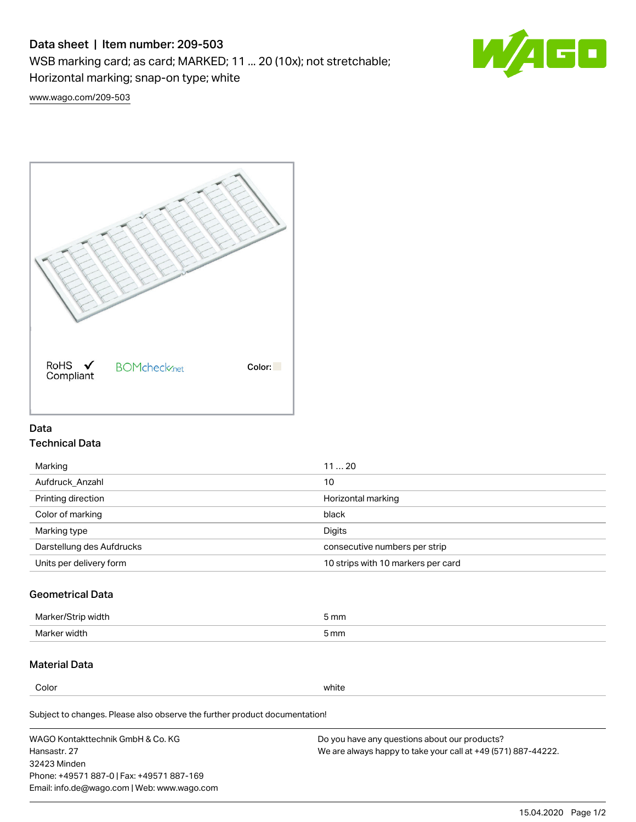# Data sheet | Item number: 209-503

WSB marking card; as card; MARKED; 11 ... 20 (10x); not stretchable;

Horizontal marking; snap-on type; white



[www.wago.com/209-503](http://www.wago.com/209-503)



## Data Technical Data

| Marking                   | 1120                               |
|---------------------------|------------------------------------|
| Aufdruck Anzahl           | 10                                 |
| Printing direction        | Horizontal marking                 |
| Color of marking          | black                              |
| Marking type              | Digits                             |
| Darstellung des Aufdrucks | consecutive numbers per strip      |
| Units per delivery form   | 10 strips with 10 markers per card |

# Geometrical Data

| Marker/Strip width | 5 mm |
|--------------------|------|
| Marker width       | 5 mm |

## Material Data

Color white

Subject to changes. Please also observe the further product documentation!

WAGO Kontakttechnik GmbH & Co. KG Hansastr. 27 32423 Minden Phone: +49571 887-0 | Fax: +49571 887-169 Email: info.de@wago.com | Web: www.wago.com Do you have any questions about our products? We are always happy to take your call at +49 (571) 887-44222.